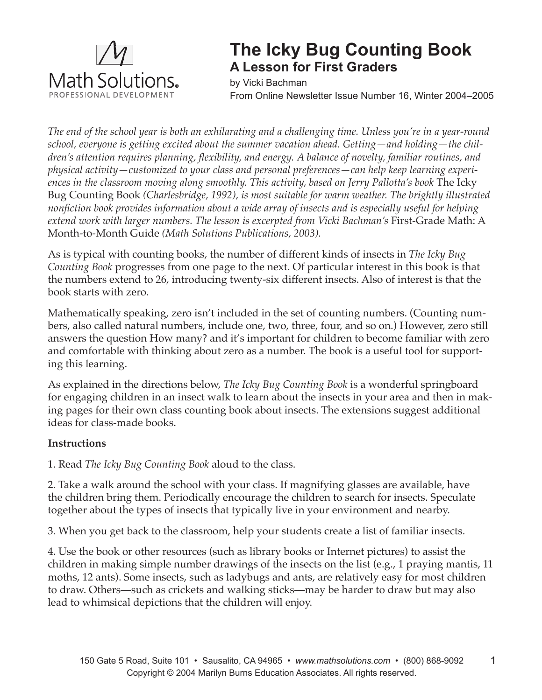

## **The Icky Bug Counting Book A Lesson for First Graders**

by Vicki Bachman From Online Newsletter Issue Number 16, Winter 2004–2005

*The end of the school year is both an exhilarating and a challenging time. Unless you're in a year-round school, everyone is getting excited about the summer vacation ahead. Getting—and holding—the children's attention requires planning, flexibility, and energy. A balance of novelty, familiar routines, and physical activity—customized to your class and personal preferences—can help keep learning experiences in the classroom moving along smoothly. This activity, based on Jerry Pallotta's book* The Icky Bug Counting Book *(Charlesbridge, 1992), is most suitable for warm weather. The brightly illustrated nonfiction book provides information about a wide array of insects and is especially useful for helping*  extend work with larger numbers. The lesson is excerpted from Vicki Bachman's First-Grade Math: A Month-to-Month Guide *(Math Solutions Publications, 2003).*

As is typical with counting books, the number of different kinds of insects in *The Icky Bug Counting Book* progresses from one page to the next. Of particular interest in this book is that the numbers extend to 26, introducing twenty-six different insects. Also of interest is that the book starts with zero.

Mathematically speaking, zero isn't included in the set of counting numbers. (Counting numbers, also called natural numbers, include one, two, three, four, and so on.) However, zero still answers the question How many? and it's important for children to become familiar with zero and comfortable with thinking about zero as a number. The book is a useful tool for supporting this learning.

As explained in the directions below, *The Icky Bug Counting Book* is a wonderful springboard for engaging children in an insect walk to learn about the insects in your area and then in making pages for their own class counting book about insects. The extensions suggest additional ideas for class-made books.

## **Instructions**

1. Read *The Icky Bug Counting Book* aloud to the class.

2. Take a walk around the school with your class. If magnifying glasses are available, have the children bring them. Periodically encourage the children to search for insects. Speculate together about the types of insects that typically live in your environment and nearby.

3. When you get back to the classroom, help your students create a list of familiar insects.

4. Use the book or other resources (such as library books or Internet pictures) to assist the children in making simple number drawings of the insects on the list (e.g., 1 praying mantis, 11 moths, 12 ants). Some insects, such as ladybugs and ants, are relatively easy for most children to draw. Others—such as crickets and walking sticks—may be harder to draw but may also lead to whimsical depictions that the children will enjoy.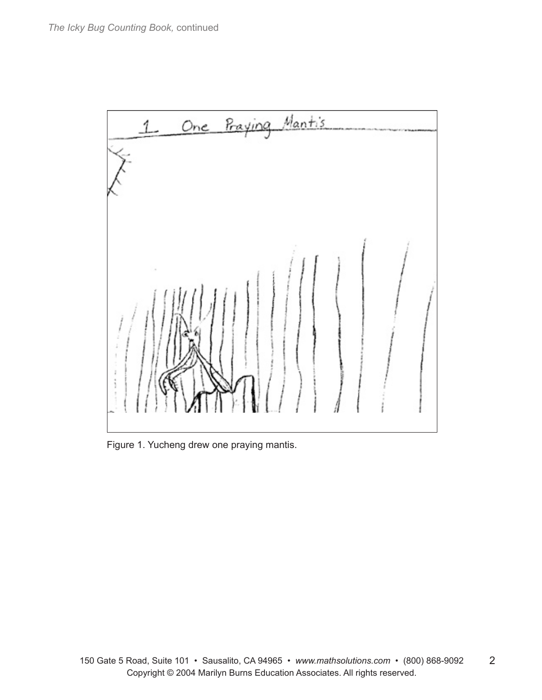

Figure 1. Yucheng drew one praying mantis.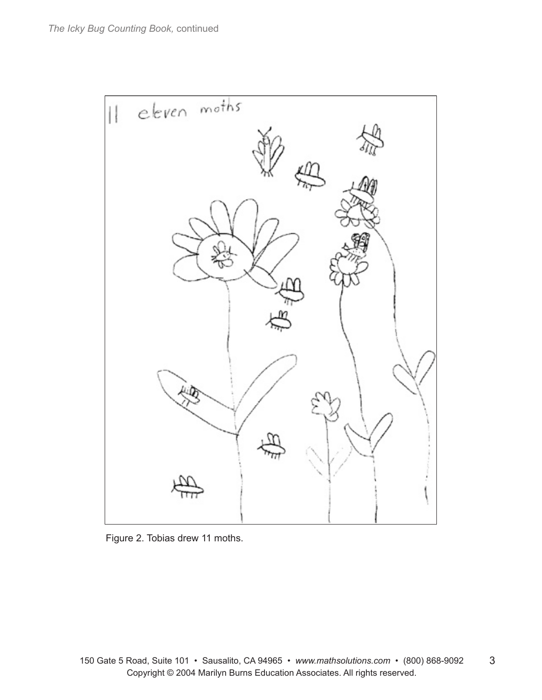

Figure 2. Tobias drew 11 moths.